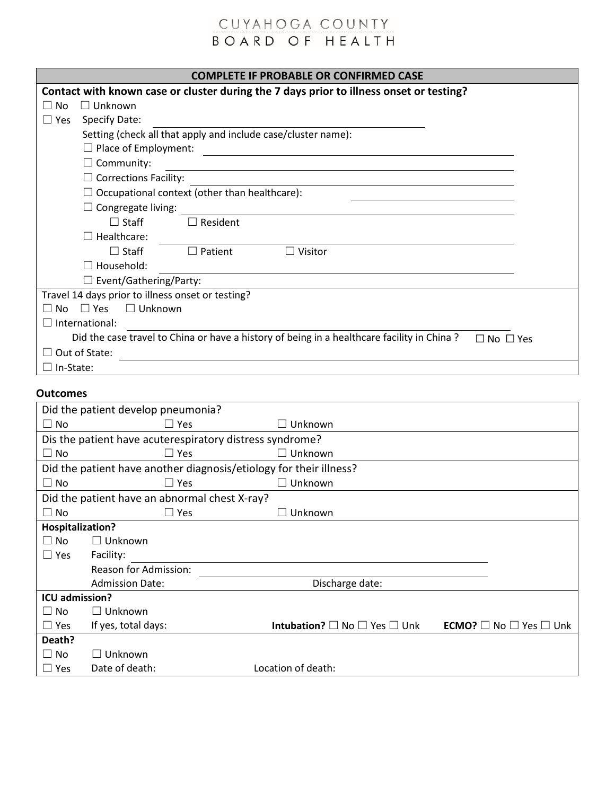| <b>COMPLETE IF PROBABLE OR CONFIRMED CASE</b>                                                                                                       |  |  |  |  |
|-----------------------------------------------------------------------------------------------------------------------------------------------------|--|--|--|--|
| Contact with known case or cluster during the 7 days prior to illness onset or testing?                                                             |  |  |  |  |
| $\Box$ Unknown<br>∣ I No                                                                                                                            |  |  |  |  |
| <b>Specify Date:</b><br>$\Box$ Yes                                                                                                                  |  |  |  |  |
| Setting (check all that apply and include case/cluster name):                                                                                       |  |  |  |  |
| $\Box$ Place of Employment:<br><u> 1980 - Jan Stein Stein Stein Stein Stein Stein Stein Stein Stein Stein Stein Stein Stein Stein Stein Stein S</u> |  |  |  |  |
| $\sqsupset$ Community:                                                                                                                              |  |  |  |  |
| $\Box$ Corrections Facility:                                                                                                                        |  |  |  |  |
| Occupational context (other than healthcare):                                                                                                       |  |  |  |  |
| Congregate living:                                                                                                                                  |  |  |  |  |
| $\Box$ Staff<br>$\Box$ Resident                                                                                                                     |  |  |  |  |
| Healthcare:                                                                                                                                         |  |  |  |  |
| $\Box$ Staff<br>$\Box$ Patient<br>$\Box$ Visitor                                                                                                    |  |  |  |  |
| Household:                                                                                                                                          |  |  |  |  |
| $\Box$ Event/Gathering/Party:                                                                                                                       |  |  |  |  |
| Travel 14 days prior to illness onset or testing?                                                                                                   |  |  |  |  |
| $\Box$ Yes<br>$\Box$ Unknown<br>∩ No                                                                                                                |  |  |  |  |
| $\Box$ International:                                                                                                                               |  |  |  |  |
| Did the case travel to China or have a history of being in a healthcare facility in China?<br>$\Box$ No $\Box$ Yes                                  |  |  |  |  |
| $\Box$ Out of State:                                                                                                                                |  |  |  |  |
| In-State:                                                                                                                                           |  |  |  |  |

#### **Outcomes**

| Did the patient develop pneumonia? |                                               |                                                                    |                                              |  |  |
|------------------------------------|-----------------------------------------------|--------------------------------------------------------------------|----------------------------------------------|--|--|
| $\square$ No                       | $\Box$ Yes                                    | Unknown                                                            |                                              |  |  |
|                                    |                                               | Dis the patient have acuterespiratory distress syndrome?           |                                              |  |  |
| $\Box$ No                          | $\Box$ Yes                                    | Unknown                                                            |                                              |  |  |
|                                    |                                               | Did the patient have another diagnosis/etiology for their illness? |                                              |  |  |
| $\square$ No                       | $\Box$ Yes                                    | Unknown                                                            |                                              |  |  |
|                                    | Did the patient have an abnormal chest X-ray? |                                                                    |                                              |  |  |
| $\square$ No                       | $\Box$ Yes                                    | Unknown                                                            |                                              |  |  |
| Hospitalization?                   |                                               |                                                                    |                                              |  |  |
| $\Box$ No                          | $\Box$ Unknown                                |                                                                    |                                              |  |  |
| $\Box$ Yes                         | Facility:                                     |                                                                    |                                              |  |  |
|                                    | Reason for Admission:                         |                                                                    |                                              |  |  |
|                                    | <b>Admission Date:</b>                        | Discharge date:                                                    |                                              |  |  |
| <b>ICU admission?</b>              |                                               |                                                                    |                                              |  |  |
| $\Box$ No                          | $\Box$ Unknown                                |                                                                    |                                              |  |  |
| $\Box$ Yes                         | If yes, total days:                           | <b>Intubation?</b> $\square$ No $\square$ Yes $\square$ Unk        | <b>ECMO?</b> $\Box$ No $\Box$ Yes $\Box$ Unk |  |  |
| Death?                             |                                               |                                                                    |                                              |  |  |
| $\square$ No                       | Unknown                                       |                                                                    |                                              |  |  |
| $\Box$ Yes                         | Date of death:                                | Location of death:                                                 |                                              |  |  |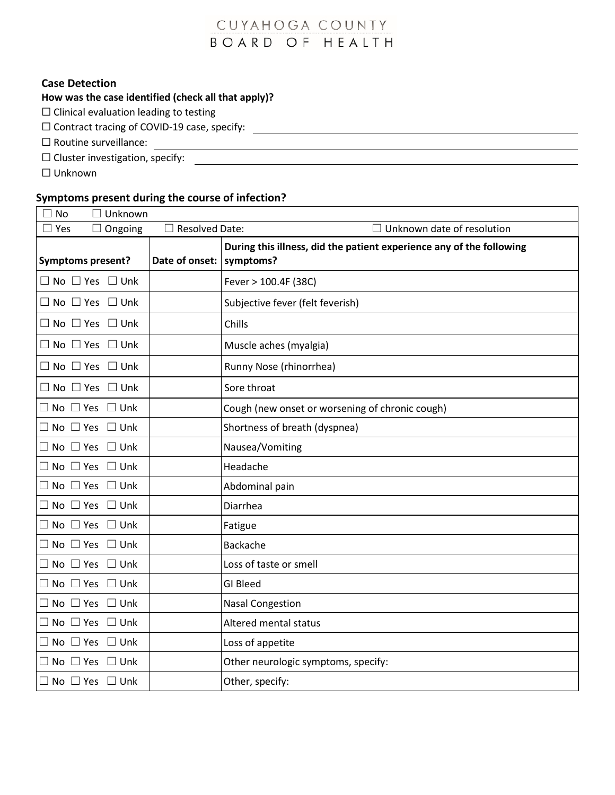$\overline{\phantom{0}}$ 

#### **Case Detection**

### **How was the case identified (check all that apply)?**

 $\Box$  Clinical evaluation leading to testing

☐ Contract tracing of COVID-19 case, specify:

□ Routine surveillance:

 $\Box$  Cluster investigation, specify:

☐ Unknown

# **Symptoms present during the course of infection?**

| <b>No</b>                                | $\Box$ Unknown |                       |                                                                                   |
|------------------------------------------|----------------|-----------------------|-----------------------------------------------------------------------------------|
| Yes                                      | $\Box$ Ongoing | <b>Resolved Date:</b> | Unknown date of resolution                                                        |
| <b>Symptoms present?</b>                 |                | Date of onset:        | During this illness, did the patient experience any of the following<br>symptoms? |
| $\Box$ No $\Box$ Yes $\Box$ Unk          |                |                       | Fever > 100.4F (38C)                                                              |
| $\square$ No $\square$ Yes               | $\square$ Unk  |                       | Subjective fever (felt feverish)                                                  |
| $\Box$ No $\Box$ Yes $\Box$ Unk          |                |                       | Chills                                                                            |
| $\Box$ No $\Box$ Yes $\Box$ Unk          |                |                       | Muscle aches (myalgia)                                                            |
| $\Box$ No $\Box$ Yes $\Box$ Unk          |                |                       | Runny Nose (rhinorrhea)                                                           |
| $\Box$ No $\Box$ Yes $\Box$ Unk          |                |                       | Sore throat                                                                       |
| $\Box$ No $\Box$ Yes $\Box$ Unk          |                |                       | Cough (new onset or worsening of chronic cough)                                   |
| $\Box$ No $\Box$ Yes $\Box$ Unk          |                |                       | Shortness of breath (dyspnea)                                                     |
| $\Box$ No $\Box$ Yes $\Box$ Unk          |                |                       | Nausea/Vomiting                                                                   |
| $\Box$ No $\Box$ Yes $\Box$ Unk          |                |                       | Headache                                                                          |
| $\Box$ No $\Box$ Yes $\Box$ Unk          |                |                       | Abdominal pain                                                                    |
| $\sqsupset$ No $\;\square$ Yes           | $\square$ Unk  |                       | Diarrhea                                                                          |
| No $\Box$ Yes $\Box$ Unk                 |                |                       | Fatigue                                                                           |
| $\square$ No $\square$ Yes $\square$ Unk |                |                       | <b>Backache</b>                                                                   |
| No $\Box$ Yes $\Box$ Unk                 |                |                       | Loss of taste or smell                                                            |
| $\Box$ No $\Box$ Yes $\Box$ Unk          |                |                       | <b>GI Bleed</b>                                                                   |
| $\Box$ No $\Box$ Yes $\Box$ Unk          |                |                       | <b>Nasal Congestion</b>                                                           |
| $\Box$ No $\Box$ Yes                     | $\square$ Unk  |                       | Altered mental status                                                             |
| $\Box$ No $\Box$ Yes                     | $\square$ Unk  |                       | Loss of appetite                                                                  |
| $\Box$ No $\Box$ Yes                     | $\square$ Unk  |                       | Other neurologic symptoms, specify:                                               |
| $\Box$ No $\Box$ Yes $\Box$ Unk          |                |                       | Other, specify:                                                                   |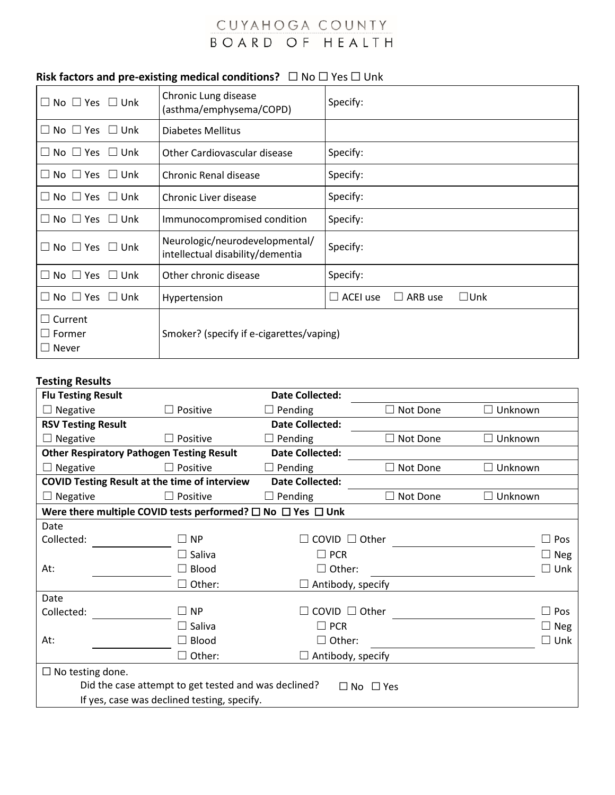### **Risk factors and pre-existing medical conditions?**  $□$  No  $□$  Yes  $□$  Unk

| $\Box$ No $\Box$ Yes $\Box$ Unk                 | Chronic Lung disease<br>(asthma/emphysema/COPD)                    | Specify:                                    |
|-------------------------------------------------|--------------------------------------------------------------------|---------------------------------------------|
| $\Box$ No $\Box$ Yes $\Box$ Unk                 | Diabetes Mellitus                                                  |                                             |
| $\Box$ No $\Box$ Yes $\Box$ Unk                 | Other Cardiovascular disease                                       | Specify:                                    |
| $\Box$ No $\Box$ Yes $\Box$ Unk                 | Chronic Renal disease                                              | Specify:                                    |
| $\Box$ No $\Box$ Yes $\Box$ Unk                 | Chronic Liver disease                                              | Specify:                                    |
| $\Box$ No $\Box$ Yes $\Box$ Unk                 | Immunocompromised condition                                        | Specify:                                    |
| $\Box$ No $\Box$ Yes $\Box$ Unk                 | Neurologic/neurodevelopmental/<br>intellectual disability/dementia | Specify:                                    |
| $\Box$ No $\Box$ Yes $\Box$ Unk                 | Other chronic disease                                              | Specify:                                    |
| $\Box$ No $\Box$ Yes $\Box$ Unk                 | Hypertension                                                       | $\square$ Unk<br>$\Box$ ACEI use<br>ARB use |
| $\Box$ Current<br>$\Box$ Former<br>$\Box$ Never | Smoker? (specify if e-cigarettes/vaping)                           |                                             |

#### **Testing Results**

| <b>Flu Testing Result</b>                                                          |                                                                                     | <b>Date Collected:</b>               |            |                   |  |
|------------------------------------------------------------------------------------|-------------------------------------------------------------------------------------|--------------------------------------|------------|-------------------|--|
| Negative                                                                           | $\Box$ Positive                                                                     | $\Box$ Not Done<br>$\Box$ Pending    |            | $\square$ Unknown |  |
| <b>RSV Testing Result</b>                                                          |                                                                                     | <b>Date Collected:</b>               |            |                   |  |
| Negative                                                                           | Positive                                                                            | $\Box$ Pending                       | Not Done   | Unknown           |  |
|                                                                                    | <b>Other Respiratory Pathogen Testing Result</b>                                    | <b>Date Collected:</b>               |            |                   |  |
| $\Box$ Negative                                                                    | $\Box$ Positive                                                                     | $\Box$ Pending                       | Not Done   | Unknown           |  |
|                                                                                    | <b>COVID Testing Result at the time of interview</b>                                | <b>Date Collected:</b>               |            |                   |  |
| Negative                                                                           | $\Box$ Positive                                                                     | $\Box$ Pending                       | Not Done   | Unknown           |  |
|                                                                                    | Were there multiple COVID tests performed? $\square$ No $\square$ Yes $\square$ Unk |                                      |            |                   |  |
| Date                                                                               |                                                                                     |                                      |            |                   |  |
| Collected:                                                                         | $\Box$ NP                                                                           | COVID $\Box$ Other                   | Pos<br>- 1 |                   |  |
|                                                                                    | $\square$ Saliva                                                                    | $\Box$ PCR                           |            | Neg               |  |
| At:                                                                                | $\Box$ Blood                                                                        | $\Box$ Other:                        | Unk<br>- 1 |                   |  |
|                                                                                    | $\Box$ Other:<br>Antibody, specify                                                  |                                      |            |                   |  |
| Date                                                                               |                                                                                     |                                      |            |                   |  |
| Collected:                                                                         | $\Box$ NP                                                                           | COVID $\Box$ Other<br>$\blacksquare$ |            |                   |  |
|                                                                                    | $\Box$ Saliva                                                                       | $\Box$ PCR                           |            | $\Box$ Neg        |  |
| At:                                                                                | $\Box$ Blood                                                                        | $\Box$ Other:                        |            | ٦<br>Unk          |  |
|                                                                                    | $\Box$ Other:                                                                       | $\Box$ Antibody, specify             |            |                   |  |
| $\Box$ No testing done.                                                            |                                                                                     |                                      |            |                   |  |
| Did the case attempt to get tested and was declined?<br>$\Box$ Yes<br>$\square$ No |                                                                                     |                                      |            |                   |  |
|                                                                                    | If yes, case was declined testing, specify.                                         |                                      |            |                   |  |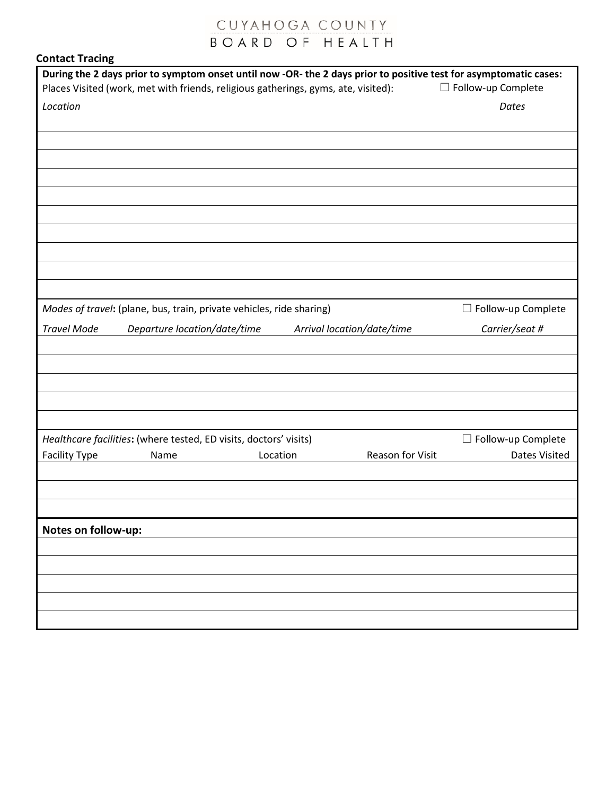| <b>Contact Tracing</b> |  |
|------------------------|--|
|------------------------|--|

|                      |                                                                      |                                                                                    |                  | During the 2 days prior to symptom onset until now -OR- the 2 days prior to positive test for asymptomatic cases: |
|----------------------|----------------------------------------------------------------------|------------------------------------------------------------------------------------|------------------|-------------------------------------------------------------------------------------------------------------------|
|                      |                                                                      | Places Visited (work, met with friends, religious gatherings, gyms, ate, visited): |                  | □ Follow-up Complete                                                                                              |
| Location             |                                                                      |                                                                                    |                  | Dates                                                                                                             |
|                      |                                                                      |                                                                                    |                  |                                                                                                                   |
|                      |                                                                      |                                                                                    |                  |                                                                                                                   |
|                      |                                                                      |                                                                                    |                  |                                                                                                                   |
|                      |                                                                      |                                                                                    |                  |                                                                                                                   |
|                      |                                                                      |                                                                                    |                  |                                                                                                                   |
|                      |                                                                      |                                                                                    |                  |                                                                                                                   |
|                      |                                                                      |                                                                                    |                  |                                                                                                                   |
|                      |                                                                      |                                                                                    |                  |                                                                                                                   |
|                      |                                                                      |                                                                                    |                  |                                                                                                                   |
|                      |                                                                      |                                                                                    |                  |                                                                                                                   |
|                      | Modes of travel: (plane, bus, train, private vehicles, ride sharing) |                                                                                    |                  | □ Follow-up Complete                                                                                              |
| <b>Travel Mode</b>   | Departure location/date/time                                         | Arrival location/date/time                                                         |                  | Carrier/seat #                                                                                                    |
|                      |                                                                      |                                                                                    |                  |                                                                                                                   |
|                      |                                                                      |                                                                                    |                  |                                                                                                                   |
|                      |                                                                      |                                                                                    |                  |                                                                                                                   |
|                      |                                                                      |                                                                                    |                  |                                                                                                                   |
|                      |                                                                      |                                                                                    |                  |                                                                                                                   |
|                      | Healthcare facilities: (where tested, ED visits, doctors' visits)    |                                                                                    |                  | $\Box$ Follow-up Complete                                                                                         |
| <b>Facility Type</b> | Name                                                                 | Location                                                                           | Reason for Visit | Dates Visited                                                                                                     |
|                      |                                                                      |                                                                                    |                  |                                                                                                                   |
|                      |                                                                      |                                                                                    |                  |                                                                                                                   |
|                      |                                                                      |                                                                                    |                  |                                                                                                                   |
| Notes on follow-up:  |                                                                      |                                                                                    |                  |                                                                                                                   |
|                      |                                                                      |                                                                                    |                  |                                                                                                                   |
|                      |                                                                      |                                                                                    |                  |                                                                                                                   |
|                      |                                                                      |                                                                                    |                  |                                                                                                                   |
|                      |                                                                      |                                                                                    |                  |                                                                                                                   |
|                      |                                                                      |                                                                                    |                  |                                                                                                                   |
|                      |                                                                      |                                                                                    |                  |                                                                                                                   |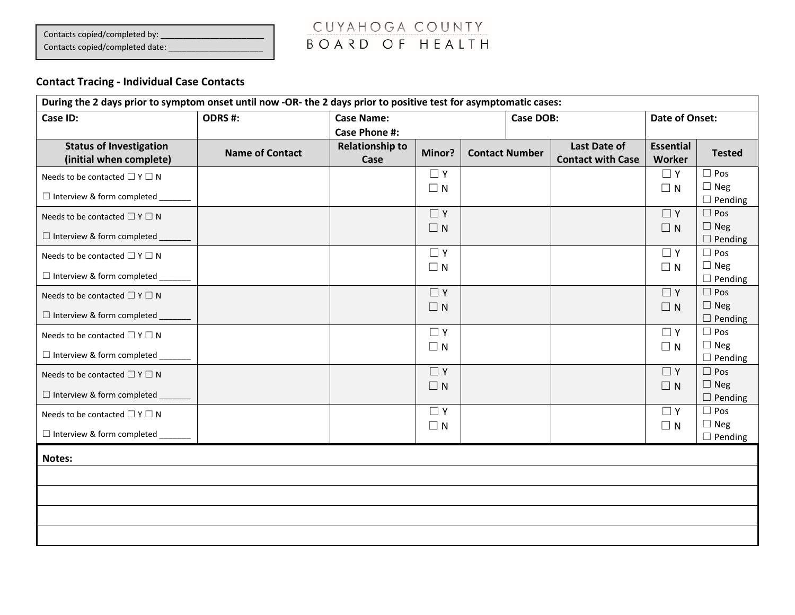Contacts copied/completed by: \_\_\_\_\_\_\_\_\_\_\_\_\_\_\_\_\_\_\_\_\_\_\_

Contacts copied/completed date: \_\_\_\_\_

# CUYAHOGA COUNTY BOARD OF HEALTH

### **Contact Tracing - Individual Case Contacts**

| During the 2 days prior to symptom onset until now -OR- the 2 days prior to positive test for asymptomatic cases: |                        |                        |                      |  |                       |                          |                      |                              |
|-------------------------------------------------------------------------------------------------------------------|------------------------|------------------------|----------------------|--|-----------------------|--------------------------|----------------------|------------------------------|
| Case ID:                                                                                                          | ODRS #:                | <b>Case Name:</b>      |                      |  | Case DOB:             |                          | Date of Onset:       |                              |
|                                                                                                                   |                        | <b>Case Phone #:</b>   |                      |  |                       |                          |                      |                              |
| <b>Status of Investigation</b>                                                                                    | <b>Name of Contact</b> | <b>Relationship to</b> | Minor?               |  | <b>Contact Number</b> | Last Date of             | <b>Essential</b>     | <b>Tested</b>                |
| (initial when complete)                                                                                           |                        | Case                   |                      |  |                       | <b>Contact with Case</b> | Worker               |                              |
| Needs to be contacted $\square$ Y $\square$ N                                                                     |                        |                        | $\Box$ Y             |  |                       |                          | $\Box$ Y             | $\Box$ Pos<br>$\Box$ Neg     |
| □ Interview & form completed ______                                                                               |                        |                        | $\Box$ N             |  |                       |                          | $\Box$ N             | $\Box$ Pending               |
| Needs to be contacted $\square$ Y $\square$ N                                                                     |                        |                        | $\Box$ Y             |  |                       |                          | $\Box$ Y             | $\Box$ Pos                   |
| □ Interview & form completed _____                                                                                |                        |                        | $\Box N$             |  |                       |                          | $\Box$ N             | $\Box$ Neg<br>$\Box$ Pending |
| Needs to be contacted $\square$ Y $\square$ N                                                                     |                        |                        | $\Box$ Y             |  |                       |                          | $\Box$ Y             | $\Box$ Pos                   |
| □ Interview & form completed _______                                                                              |                        |                        | $\Box$ N             |  |                       |                          | $\Box$ N             | $\Box$ Neg                   |
|                                                                                                                   |                        |                        |                      |  |                       |                          |                      | $\Box$ Pending               |
| Needs to be contacted $\square$ Y $\square$ N                                                                     |                        |                        | $\Box$ Y<br>$\Box N$ |  |                       |                          | $\Box$ Y<br>$\Box$ N | $\Box$ Pos<br>$\Box$ Neg     |
| $\Box$ Interview & form completed $\Box$                                                                          |                        |                        |                      |  |                       |                          |                      | $\Box$ Pending               |
| Needs to be contacted $\square$ Y $\square$ N                                                                     |                        |                        | $\Box$ Y             |  |                       |                          | $\Box$ Y             | $\Box$ Pos                   |
| □ Interview & form completed _______                                                                              |                        |                        | $\Box$ N             |  |                       |                          | $\Box$ N             | $\Box$ Neg<br>$\Box$ Pending |
| Needs to be contacted $\square$ Y $\square$ N                                                                     |                        |                        | $\Box$ Y             |  |                       |                          | $\Box$ Y             | $\Box$ Pos                   |
| □ Interview & form completed __                                                                                   |                        |                        | $\Box$ N             |  |                       |                          | $\Box$ N             | $\Box$ Neg<br>$\Box$ Pending |
| Needs to be contacted $\square$ Y $\square$ N                                                                     |                        |                        | $\Box$ Y             |  |                       |                          | $\Box$ Y             | $\Box$ Pos                   |
| □ Interview & form completed _______                                                                              |                        |                        | $\Box$ N             |  |                       |                          | $\Box$ N             | $\Box$ Neg<br>$\Box$ Pending |
|                                                                                                                   |                        |                        |                      |  |                       |                          |                      |                              |
| <b>Notes:</b>                                                                                                     |                        |                        |                      |  |                       |                          |                      |                              |
|                                                                                                                   |                        |                        |                      |  |                       |                          |                      |                              |
|                                                                                                                   |                        |                        |                      |  |                       |                          |                      |                              |
|                                                                                                                   |                        |                        |                      |  |                       |                          |                      |                              |
|                                                                                                                   |                        |                        |                      |  |                       |                          |                      |                              |